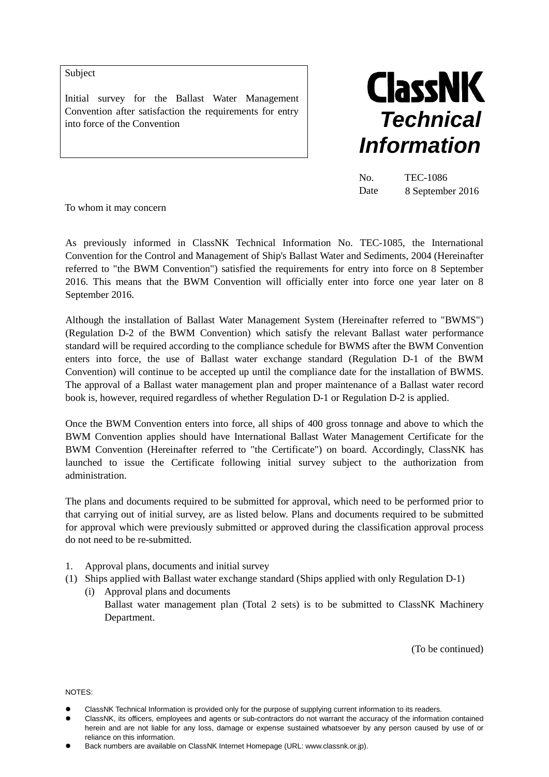Subject

Initial survey for the Ballast Water Management Convention after satisfaction the requirements for entry into force of the Convention



No. TEC-1086 Date 8 September 2016

To whom it may concern

As previously informed in ClassNK Technical Information No. TEC-1085, the International Convention for the Control and Management of Ship's Ballast Water and Sediments, 2004 (Hereinafter referred to "the BWM Convention") satisfied the requirements for entry into force on 8 September 2016. This means that the BWM Convention will officially enter into force one year later on 8 September 2016.

Although the installation of Ballast Water Management System (Hereinafter referred to "BWMS") (Regulation D-2 of the BWM Convention) which satisfy the relevant Ballast water performance standard will be required according to the compliance schedule for BWMS after the BWM Convention enters into force, the use of Ballast water exchange standard (Regulation D-1 of the BWM Convention) will continue to be accepted up until the compliance date for the installation of BWMS. The approval of a Ballast water management plan and proper maintenance of a Ballast water record book is, however, required regardless of whether Regulation D-1 or Regulation D-2 is applied.

Once the BWM Convention enters into force, all ships of 400 gross tonnage and above to which the BWM Convention applies should have International Ballast Water Management Certificate for the BWM Convention (Hereinafter referred to "the Certificate") on board. Accordingly, ClassNK has launched to issue the Certificate following initial survey subject to the authorization from administration.

The plans and documents required to be submitted for approval, which need to be performed prior to that carrying out of initial survey, are as listed below. Plans and documents required to be submitted for approval which were previously submitted or approved during the classification approval process do not need to be re-submitted.

- 1. Approval plans, documents and initial survey
- (1) Ships applied with Ballast water exchange standard (Ships applied with only Regulation D-1)
	- (i) Approval plans and documents Ballast water management plan (Total 2 sets) is to be submitted to ClassNK Machinery Department.

(To be continued)

NOTES:

- ClassNK Technical Information is provided only for the purpose of supplying current information to its readers.
- ClassNK, its officers, employees and agents or sub-contractors do not warrant the accuracy of the information contained herein and are not liable for any loss, damage or expense sustained whatsoever by any person caused by use of or reliance on this information.
- Back numbers are available on ClassNK Internet Homepage (URL: www.classnk.or.jp).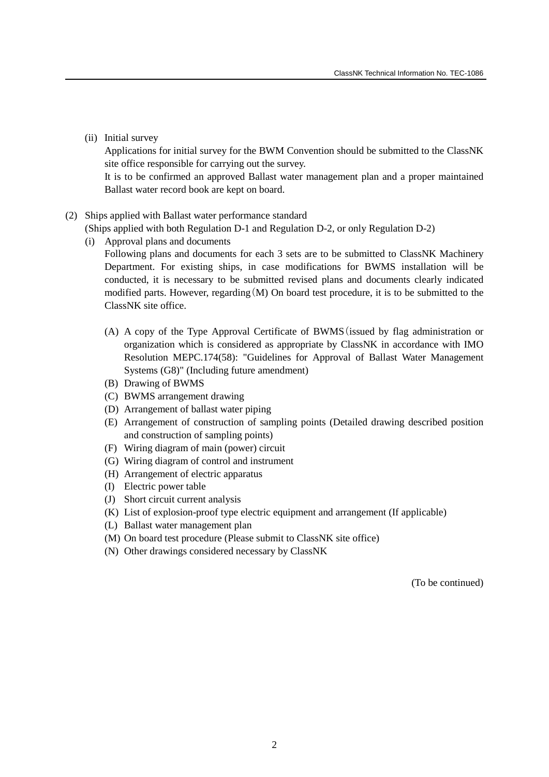(ii) Initial survey

Applications for initial survey for the BWM Convention should be submitted to the ClassNK site office responsible for carrying out the survey.

It is to be confirmed an approved Ballast water management plan and a proper maintained Ballast water record book are kept on board.

## (2) Ships applied with Ballast water performance standard

(Ships applied with both Regulation D-1 and Regulation D-2, or only Regulation D-2)

(i) Approval plans and documents

Following plans and documents for each 3 sets are to be submitted to ClassNK Machinery Department. For existing ships, in case modifications for BWMS installation will be conducted, it is necessary to be submitted revised plans and documents clearly indicated modified parts. However, regarding(M) On board test procedure, it is to be submitted to the ClassNK site office.

- (A) A copy of the Type Approval Certificate of BWMS(issued by flag administration or organization which is considered as appropriate by ClassNK in accordance with IMO Resolution MEPC.174(58): "Guidelines for Approval of Ballast Water Management Systems (G8)" (Including future amendment)
- (B) Drawing of BWMS
- (C) BWMS arrangement drawing
- (D) Arrangement of ballast water piping
- (E) Arrangement of construction of sampling points (Detailed drawing described position and construction of sampling points)
- (F) Wiring diagram of main (power) circuit
- (G) Wiring diagram of control and instrument
- (H) Arrangement of electric apparatus
- (I) Electric power table
- (J) Short circuit current analysis
- (K) List of explosion-proof type electric equipment and arrangement (If applicable)
- (L) Ballast water management plan
- (M) On board test procedure (Please submit to ClassNK site office)
- (N) Other drawings considered necessary by ClassNK

(To be continued)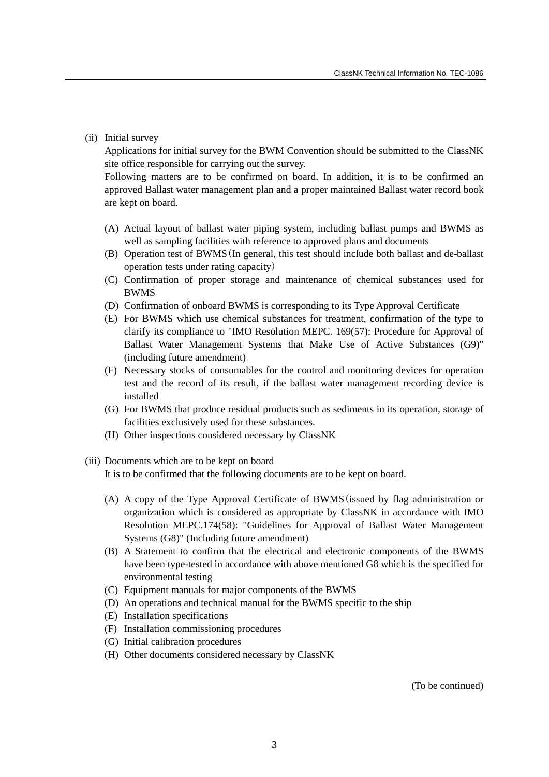(ii) Initial survey

Applications for initial survey for the BWM Convention should be submitted to the ClassNK site office responsible for carrying out the survey.

Following matters are to be confirmed on board. In addition, it is to be confirmed an approved Ballast water management plan and a proper maintained Ballast water record book are kept on board.

- (A) Actual layout of ballast water piping system, including ballast pumps and BWMS as well as sampling facilities with reference to approved plans and documents
- (B) Operation test of BWMS(In general, this test should include both ballast and de-ballast operation tests under rating capacity)
- (C) Confirmation of proper storage and maintenance of chemical substances used for BWMS
- (D) Confirmation of onboard BWMS is corresponding to its Type Approval Certificate
- (E) For BWMS which use chemical substances for treatment, confirmation of the type to clarify its compliance to "IMO Resolution MEPC. 169(57): Procedure for Approval of Ballast Water Management Systems that Make Use of Active Substances (G9)" (including future amendment)
- (F) Necessary stocks of consumables for the control and monitoring devices for operation test and the record of its result, if the ballast water management recording device is installed
- (G) For BWMS that produce residual products such as sediments in its operation, storage of facilities exclusively used for these substances.
- (H) Other inspections considered necessary by ClassNK
- (iii) Documents which are to be kept on board

It is to be confirmed that the following documents are to be kept on board.

- (A) A copy of the Type Approval Certificate of BWMS(issued by flag administration or organization which is considered as appropriate by ClassNK in accordance with IMO Resolution MEPC.174(58): "Guidelines for Approval of Ballast Water Management Systems (G8)" (Including future amendment)
- (B) A Statement to confirm that the electrical and electronic components of the BWMS have been type-tested in accordance with above mentioned G8 which is the specified for environmental testing
- (C) Equipment manuals for major components of the BWMS
- (D) An operations and technical manual for the BWMS specific to the ship
- (E) Installation specifications
- (F) Installation commissioning procedures
- (G) Initial calibration procedures
- (H) Other documents considered necessary by ClassNK

(To be continued)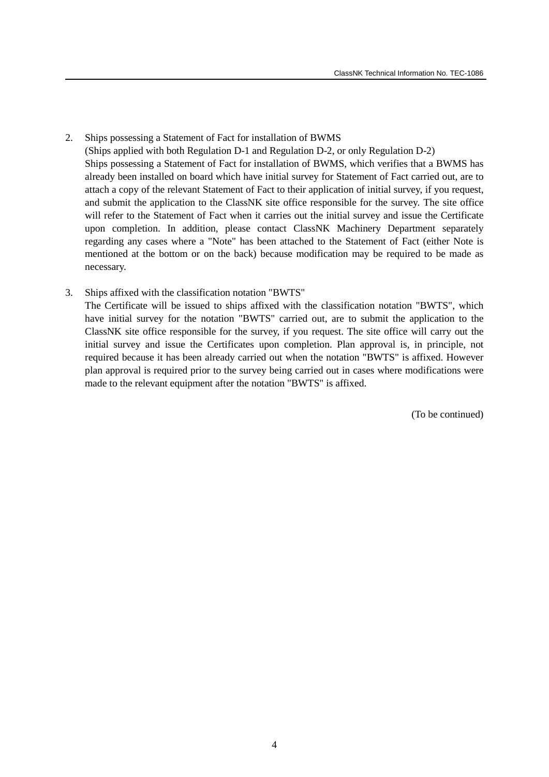- 2. Ships possessing a Statement of Fact for installation of BWMS (Ships applied with both Regulation D-1 and Regulation D-2, or only Regulation D-2) Ships possessing a Statement of Fact for installation of BWMS, which verifies that a BWMS has already been installed on board which have initial survey for Statement of Fact carried out, are to attach a copy of the relevant Statement of Fact to their application of initial survey, if you request, and submit the application to the ClassNK site office responsible for the survey. The site office will refer to the Statement of Fact when it carries out the initial survey and issue the Certificate upon completion. In addition, please contact ClassNK Machinery Department separately regarding any cases where a "Note" has been attached to the Statement of Fact (either Note is mentioned at the bottom or on the back) because modification may be required to be made as necessary.
- 3. Ships affixed with the classification notation "BWTS" The Certificate will be issued to ships affixed with the classification notation "BWTS", which have initial survey for the notation "BWTS" carried out, are to submit the application to the ClassNK site office responsible for the survey, if you request. The site office will carry out the initial survey and issue the Certificates upon completion. Plan approval is, in principle, not required because it has been already carried out when the notation "BWTS" is affixed. However plan approval is required prior to the survey being carried out in cases where modifications were made to the relevant equipment after the notation "BWTS" is affixed.

(To be continued)